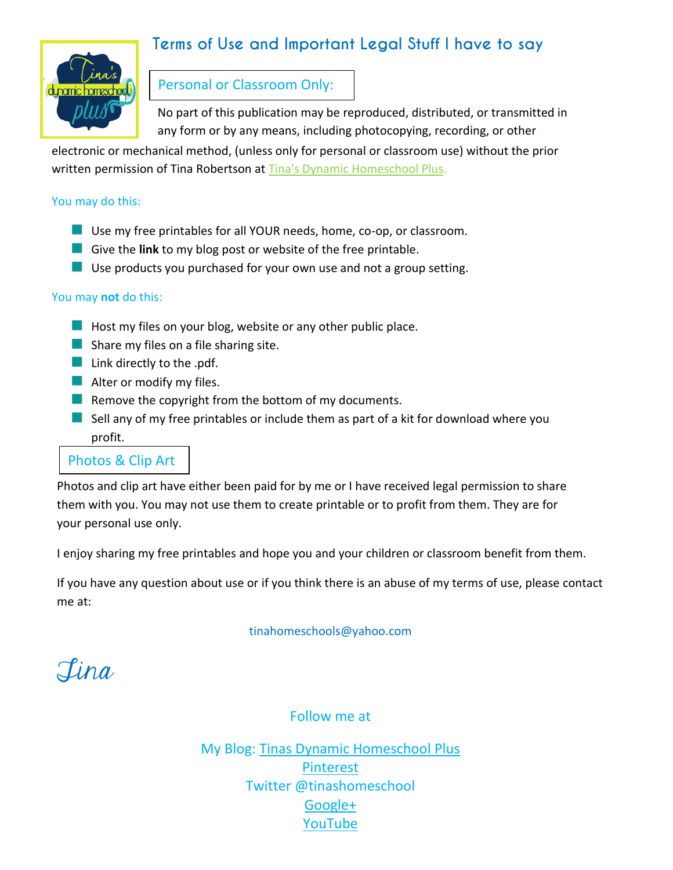### **Terms of Use and Important Legal Stuff I have to say**



#### Personal or Classroom Only:

No part of this publication may be reproduced, distributed, or transmitted in any form or by any means, including photocopying, recording, or other

electronic or mechanical method, (unless only for personal or classroom use) without the prior written permission of Tina Robertson at [Tina's Dynamic Homeschool Plus.](http://tinasdynamichomeschoolplus.com/)

#### You may do this:

- Use my free printables for all YOUR needs, home, co-op, or classroom.
- **Give the link** to my blog post or website of the free printable.
- $\blacksquare$  Use products you purchased for your own use and not a group setting.

#### You may **not** do this:

- $\blacksquare$  Host my files on your blog, website or any other public place.
- $\blacksquare$  Share my files on a file sharing site.
- **Link directly to the .pdf.**
- $\blacksquare$  Alter or modify my files.
- $\blacksquare$  Remove the copyright from the bottom of my documents.
- $\blacksquare$  Sell any of my free printables or include them as part of a kit for download where you profit.

#### Photos & Clip Art

Photos and clip art have either been paid for by me or I have received legal permission to share them with you. You may not use them to create printable or to profit from them. They are for your personal use only.

I enjoy sharing my free printables and hope you and your children or classroom benefit from them.

If you have any question about use or if you think there is an abuse of my terms of use, please contact me at:

tinahomeschools@yahoo.com

Tina

Follow me at

My Blog: [Tinas Dynamic Homeschool Plus](http://www.tinasdynamichomeschoolplus.com/) [Pinterest](http://www.pinterest.com/tinashomeschool/) Twitter @tinashomeschool [Google+](https://plus.google.com/u/0/b/102612999875880635044/102612999875880635044/posts) [YouTube](http://www.youtube.com/tinahomeschools)